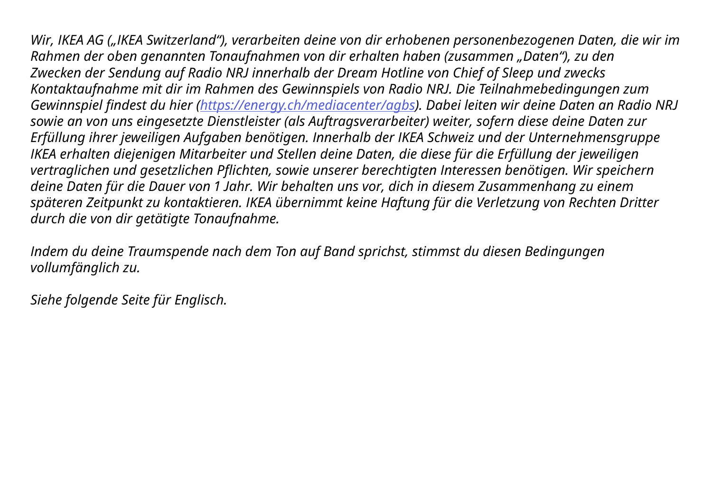*Wir, IKEA AG ("IKEA Switzerland"), verarbeiten deine von dir erhobenen personenbezogenen Daten, die wir im Rahmen der oben genannten Tonaufnahmen von dir erhalten haben (zusammen "Daten"), zu den Zwecken der Sendung auf Radio NRJ innerhalb der Dream Hotline von Chief of Sleep und zwecks Kontaktaufnahme mit dir im Rahmen des Gewinnspiels von Radio NRJ. Die Teilnahmebedingungen zum Gewinnspiel findest du hier ([https://energy.ch/mediacenter/agbs\)](https://energy.ch/mediacenter/agbs). Dabei leiten wir deine Daten an Radio NRJ sowie an von uns eingesetzte Dienstleister (als Auftragsverarbeiter) weiter, sofern diese deine Daten zur Erfüllung ihrer jeweiligen Aufgaben benötigen. Innerhalb der IKEA Schweiz und der Unternehmensgruppe IKEA erhalten diejenigen Mitarbeiter und Stellen deine Daten, die diese für die Erfüllung der jeweiligen vertraglichen und gesetzlichen Pflichten, sowie unserer berechtigten Interessen benötigen. Wir speichern deine Daten für die Dauer von 1 Jahr. Wir behalten uns vor, dich in diesem Zusammenhang zu einem späteren Zeitpunkt zu kontaktieren. IKEA übernimmt keine Haftung für die Verletzung von Rechten Dritter durch die von dir getätigte Tonaufnahme.*

*Indem du deine Traumspende nach dem Ton auf Band sprichst, stimmst du diesen Bedingungen vollumfänglich zu.* 

*Siehe folgende Seite für Englisch.*